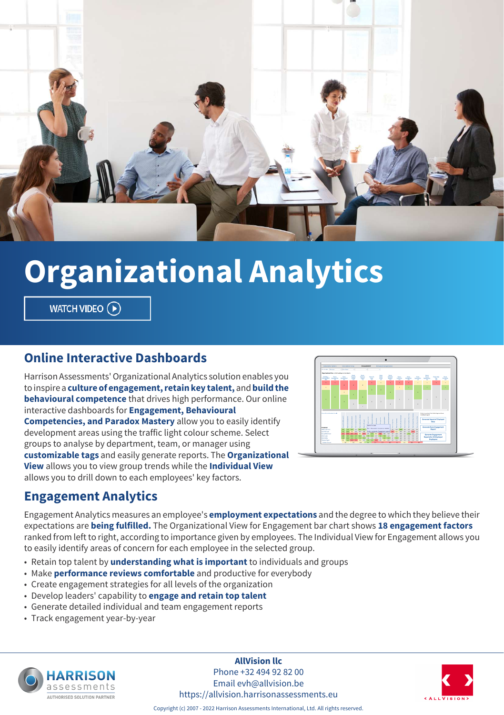

# **Organizational Analytics**

WATCH VIDEO (D)

#### **Online Interactive Dashboards**

Harrison Assessments' Organizational Analytics solution enables you to inspire a **culture of engagement, retain key talent,** and **build the behavioural competence** that drives high performance. Our online interactive dashboards for **Engagement, Behavioural Competencies, and Paradox Mastery** allow you to easily identify development areas using the traffic light colour scheme. Select groups to analyse by department, team, or manager using **customizable tags** and easily generate reports. The **Organizational View** allows you to view group trends while the **Individual View** allows you to drill down to each employees' key factors.



#### **Engagement Analytics**

Engagement Analytics measures an employee's **employment expectations** and the degree to which they believe their expectations are **being fulfilled.** The Organizational View for Engagement bar chart shows **18 engagement factors** ranked from left to right, according to importance given by employees. The Individual View for Engagement allows you to easily identify areas of concern for each employee in the selected group.

- Retain top talent by **understanding what is important** to individuals and groups
- Make **performance reviews comfortable** and productive for everybody
- Create engagement strategies for all levels of the organization
- Develop leaders' capability to **engage and retain top talent**
- Generate detailed individual and team engagement reports
- Track engagement year-by-year



**AllVision llc** Phone +32 494 92 82 00 Email evh@allvision.be https://allvision.harrisonassessments.eu